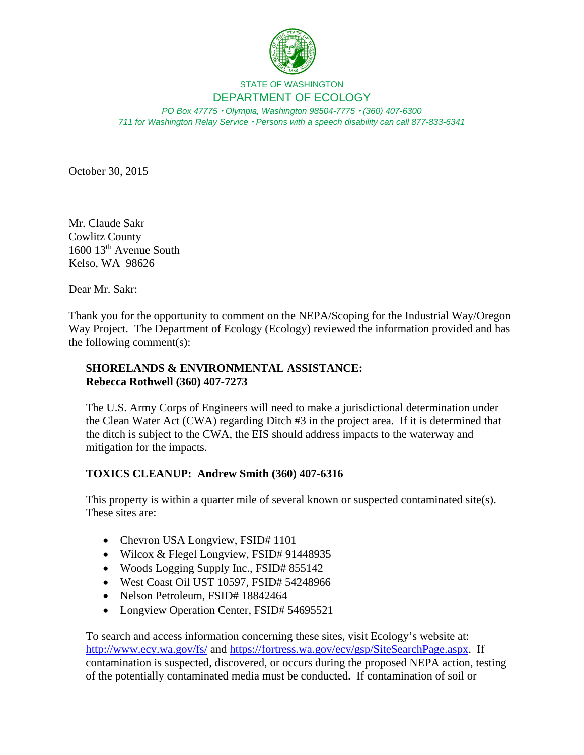

## STATE OF WASHINGTON DEPARTMENT OF ECOLOGY

*PO Box 47775 Olympia, Washington 98504-7775 (360) 407-6300 711 for Washington Relay Service Persons with a speech disability can call 877-833-6341*

October 30, 2015

Mr. Claude Sakr Cowlitz County 1600 13th Avenue South Kelso, WA 98626

Dear Mr. Sakr:

Thank you for the opportunity to comment on the NEPA/Scoping for the Industrial Way/Oregon Way Project. The Department of Ecology (Ecology) reviewed the information provided and has the following comment(s):

## **SHORELANDS & ENVIRONMENTAL ASSISTANCE: Rebecca Rothwell (360) 407-7273**

The U.S. Army Corps of Engineers will need to make a jurisdictional determination under the Clean Water Act (CWA) regarding Ditch #3 in the project area. If it is determined that the ditch is subject to the CWA, the EIS should address impacts to the waterway and mitigation for the impacts.

## **TOXICS CLEANUP: Andrew Smith (360) 407-6316**

This property is within a quarter mile of several known or suspected contaminated site(s). These sites are:

- Chevron USA Longview, FSID# 1101
- Wilcox & Flegel Longview, FSID# 91448935
- Woods Logging Supply Inc., FSID# 855142
- West Coast Oil UST 10597, FSID# 54248966
- Nelson Petroleum, FSID# 18842464
- Longview Operation Center, FSID# 54695521

To search and access information concerning these sites, visit Ecology's website at: http://www.ecy.wa.gov/fs/ and https://fortress.wa.gov/ecy/gsp/SiteSearchPage.aspx. If contamination is suspected, discovered, or occurs during the proposed NEPA action, testing of the potentially contaminated media must be conducted. If contamination of soil or